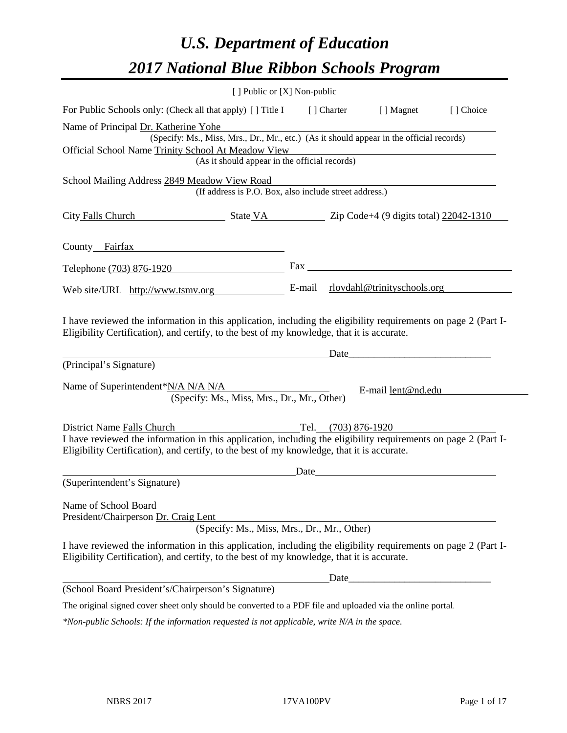# *U.S. Department of Education 2017 National Blue Ribbon Schools Program*

|                                                                                                                                                                                                              | [ ] Public or [X] Non-public |      |                                    |           |
|--------------------------------------------------------------------------------------------------------------------------------------------------------------------------------------------------------------|------------------------------|------|------------------------------------|-----------|
| For Public Schools only: (Check all that apply) [] Title I                                                                                                                                                   |                              |      | [] Charter [] Magnet               | [] Choice |
| Name of Principal Dr. Katherine Yohe                                                                                                                                                                         |                              |      |                                    |           |
| (Specify: Ms., Miss, Mrs., Dr., Mr., etc.) (As it should appear in the official records)                                                                                                                     |                              |      |                                    |           |
| Official School Name Trinity School At Meadow View                                                                                                                                                           |                              |      |                                    |           |
| (As it should appear in the official records)                                                                                                                                                                |                              |      |                                    |           |
| School Mailing Address 2849 Meadow View Road                                                                                                                                                                 |                              |      |                                    |           |
| (If address is P.O. Box, also include street address.)                                                                                                                                                       |                              |      |                                    |           |
| City Falls Church State VA Zip Code+4 (9 digits total) 22042-1310                                                                                                                                            |                              |      |                                    |           |
| County Fairfax                                                                                                                                                                                               |                              |      |                                    |           |
| Telephone (703) 876-1920                                                                                                                                                                                     |                              |      | Fax                                |           |
| Web site/URL http://www.tsmv.org                                                                                                                                                                             |                              |      | E-mail rlovdahl@trinityschools.org |           |
| <u> 1980 - Johann John Stein, marwolaethau (b. 1980)</u><br>(Principal's Signature)                                                                                                                          |                              |      | Date                               |           |
| Name of Superintendent*N/A N/A N/A<br>(Specify: Ms., Miss, Mrs., Dr., Mr., Other)                                                                                                                            |                              |      | E-mail lent@nd.edu                 |           |
| District Name Falls Church                                                                                                                                                                                   |                              |      |                                    |           |
| Tel. (703) 876-1920<br>I have reviewed the information in this application, including the eligibility requirements on page 2 (Part I-                                                                        |                              |      |                                    |           |
| Eligibility Certification), and certify, to the best of my knowledge, that it is accurate.                                                                                                                   |                              |      |                                    |           |
|                                                                                                                                                                                                              |                              |      |                                    |           |
| (Superintendent's Signature)                                                                                                                                                                                 | Date                         |      |                                    |           |
|                                                                                                                                                                                                              |                              |      |                                    |           |
| Name of School Board                                                                                                                                                                                         |                              |      |                                    |           |
| President/Chairperson Dr. Craig Lent                                                                                                                                                                         |                              |      |                                    |           |
| (Specify: Ms., Miss, Mrs., Dr., Mr., Other)                                                                                                                                                                  |                              |      |                                    |           |
| I have reviewed the information in this application, including the eligibility requirements on page 2 (Part I-<br>Eligibility Certification), and certify, to the best of my knowledge, that it is accurate. |                              |      |                                    |           |
|                                                                                                                                                                                                              |                              | Date |                                    |           |
| (School Board President's/Chairperson's Signature)                                                                                                                                                           |                              |      |                                    |           |
| The original signed cover sheet only should be converted to a PDF file and uploaded via the online portal.                                                                                                   |                              |      |                                    |           |
| *Non-public Schools: If the information requested is not applicable, write N/A in the space.                                                                                                                 |                              |      |                                    |           |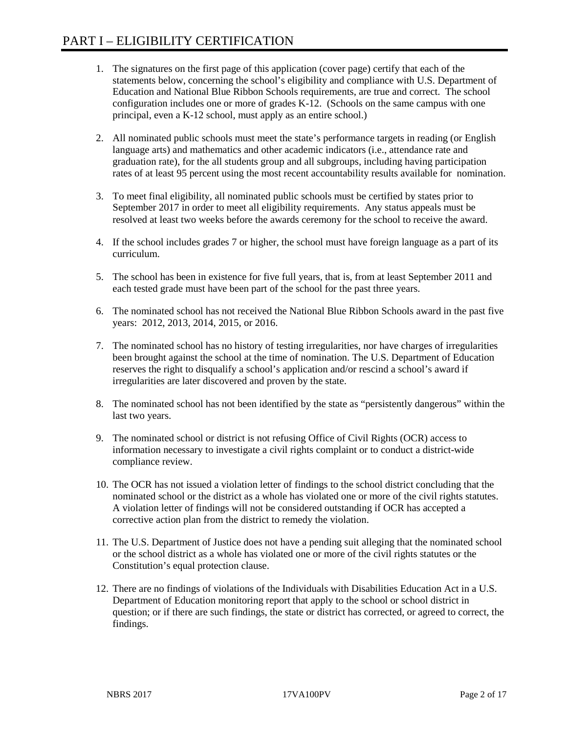- 1. The signatures on the first page of this application (cover page) certify that each of the statements below, concerning the school's eligibility and compliance with U.S. Department of Education and National Blue Ribbon Schools requirements, are true and correct. The school configuration includes one or more of grades K-12. (Schools on the same campus with one principal, even a K-12 school, must apply as an entire school.)
- 2. All nominated public schools must meet the state's performance targets in reading (or English language arts) and mathematics and other academic indicators (i.e., attendance rate and graduation rate), for the all students group and all subgroups, including having participation rates of at least 95 percent using the most recent accountability results available for nomination.
- 3. To meet final eligibility, all nominated public schools must be certified by states prior to September 2017 in order to meet all eligibility requirements. Any status appeals must be resolved at least two weeks before the awards ceremony for the school to receive the award.
- 4. If the school includes grades 7 or higher, the school must have foreign language as a part of its curriculum.
- 5. The school has been in existence for five full years, that is, from at least September 2011 and each tested grade must have been part of the school for the past three years.
- 6. The nominated school has not received the National Blue Ribbon Schools award in the past five years: 2012, 2013, 2014, 2015, or 2016.
- 7. The nominated school has no history of testing irregularities, nor have charges of irregularities been brought against the school at the time of nomination. The U.S. Department of Education reserves the right to disqualify a school's application and/or rescind a school's award if irregularities are later discovered and proven by the state.
- 8. The nominated school has not been identified by the state as "persistently dangerous" within the last two years.
- 9. The nominated school or district is not refusing Office of Civil Rights (OCR) access to information necessary to investigate a civil rights complaint or to conduct a district-wide compliance review.
- 10. The OCR has not issued a violation letter of findings to the school district concluding that the nominated school or the district as a whole has violated one or more of the civil rights statutes. A violation letter of findings will not be considered outstanding if OCR has accepted a corrective action plan from the district to remedy the violation.
- 11. The U.S. Department of Justice does not have a pending suit alleging that the nominated school or the school district as a whole has violated one or more of the civil rights statutes or the Constitution's equal protection clause.
- 12. There are no findings of violations of the Individuals with Disabilities Education Act in a U.S. Department of Education monitoring report that apply to the school or school district in question; or if there are such findings, the state or district has corrected, or agreed to correct, the findings.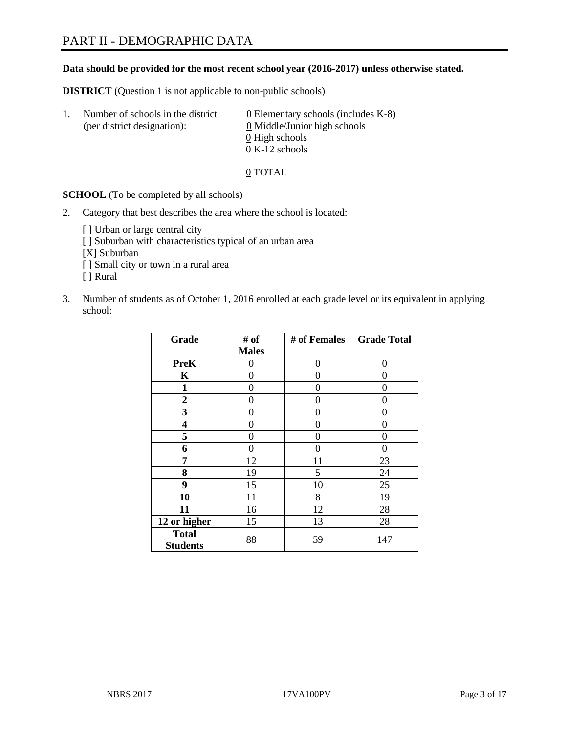#### **Data should be provided for the most recent school year (2016-2017) unless otherwise stated.**

**DISTRICT** (Question 1 is not applicable to non-public schools)

| -1. | Number of schools in the district<br>(per district designation): | $\underline{0}$ Elementary schools (includes K-8)<br>0 Middle/Junior high schools |
|-----|------------------------------------------------------------------|-----------------------------------------------------------------------------------|
|     |                                                                  | 0 High schools                                                                    |
|     |                                                                  | $0 K-12$ schools                                                                  |

0 TOTAL

**SCHOOL** (To be completed by all schools)

2. Category that best describes the area where the school is located:

[] Urban or large central city [ ] Suburban with characteristics typical of an urban area [X] Suburban [ ] Small city or town in a rural area [ ] Rural

3. Number of students as of October 1, 2016 enrolled at each grade level or its equivalent in applying school:

| Grade                           | # of         | # of Females | <b>Grade Total</b> |
|---------------------------------|--------------|--------------|--------------------|
|                                 | <b>Males</b> |              |                    |
| <b>PreK</b>                     | 0            | 0            | 0                  |
| $\mathbf K$                     | 0            | 0            | 0                  |
| $\mathbf{1}$                    | 0            | 0            | 0                  |
| $\overline{2}$                  | 0            | 0            | 0                  |
| 3                               | 0            | 0            | 0                  |
| 4                               | 0            | 0            | 0                  |
| 5                               | 0            | 0            | 0                  |
| 6                               | 0            | 0            | 0                  |
| 7                               | 12           | 11           | 23                 |
| 8                               | 19           | 5            | 24                 |
| 9                               | 15           | 10           | 25                 |
| 10                              | 11           | 8            | 19                 |
| 11                              | 16           | 12           | 28                 |
| 12 or higher                    | 15           | 13           | 28                 |
| <b>Total</b><br><b>Students</b> | 88           | 59           | 147                |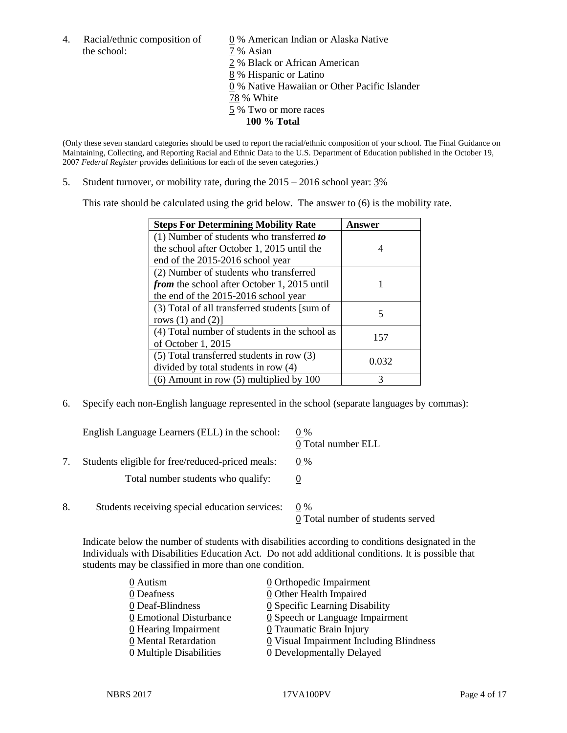4. Racial/ethnic composition of  $\qquad 0\%$  American Indian or Alaska Native the school:  $7\%$  Asian

 % Black or African American % Hispanic or Latino % Native Hawaiian or Other Pacific Islander 78 % White % Two or more races **100 % Total**

(Only these seven standard categories should be used to report the racial/ethnic composition of your school. The Final Guidance on Maintaining, Collecting, and Reporting Racial and Ethnic Data to the U.S. Department of Education published in the October 19, 2007 *Federal Register* provides definitions for each of the seven categories.)

5. Student turnover, or mobility rate, during the 2015 – 2016 school year: 3%

This rate should be calculated using the grid below. The answer to (6) is the mobility rate.

| <b>Steps For Determining Mobility Rate</b>         | Answer |
|----------------------------------------------------|--------|
| (1) Number of students who transferred to          |        |
| the school after October 1, 2015 until the         | 4      |
| end of the 2015-2016 school year                   |        |
| (2) Number of students who transferred             |        |
| <i>from</i> the school after October 1, 2015 until |        |
| the end of the 2015-2016 school year               |        |
| (3) Total of all transferred students [sum of      | 5      |
| rows $(1)$ and $(2)$ ]                             |        |
| (4) Total number of students in the school as      | 157    |
| of October 1, 2015                                 |        |
| $(5)$ Total transferred students in row $(3)$      | 0.032  |
| divided by total students in row (4)               |        |
| $(6)$ Amount in row $(5)$ multiplied by 100        | 3      |

6. Specify each non-English language represented in the school (separate languages by commas):

|    | English Language Learners (ELL) in the school:   | $0\%$<br>0 Total number ELL                |
|----|--------------------------------------------------|--------------------------------------------|
|    | Students eligible for free/reduced-priced meals: | $0\%$                                      |
|    | Total number students who qualify:               |                                            |
| 8. | Students receiving special education services:   | $0\%$<br>0 Total number of students served |

Indicate below the number of students with disabilities according to conditions designated in the Individuals with Disabilities Education Act. Do not add additional conditions. It is possible that students may be classified in more than one condition.

| $\underline{0}$ Orthopedic Impairment         |
|-----------------------------------------------|
| <b>0</b> Other Health Impaired                |
| $\underline{0}$ Specific Learning Disability  |
| $\underline{0}$ Speech or Language Impairment |
| 0 Traumatic Brain Injury                      |
| 0 Visual Impairment Including Blindness       |
| <b>0</b> Developmentally Delayed              |
|                                               |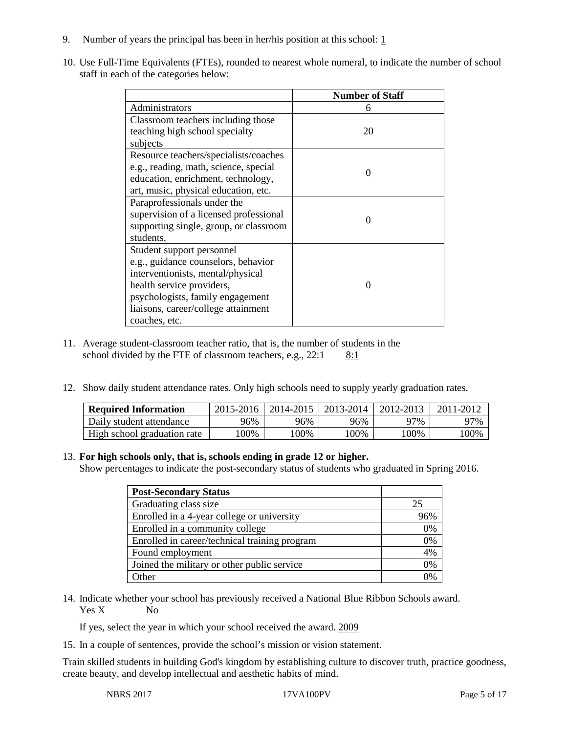- 9. Number of years the principal has been in her/his position at this school:  $1$
- 10. Use Full-Time Equivalents (FTEs), rounded to nearest whole numeral, to indicate the number of school staff in each of the categories below:

|                                        | <b>Number of Staff</b> |
|----------------------------------------|------------------------|
| Administrators                         | 6                      |
| Classroom teachers including those     |                        |
| teaching high school specialty         | 20                     |
| subjects                               |                        |
| Resource teachers/specialists/coaches  |                        |
| e.g., reading, math, science, special  | $\Omega$               |
| education, enrichment, technology,     |                        |
| art, music, physical education, etc.   |                        |
| Paraprofessionals under the            |                        |
| supervision of a licensed professional | $\Omega$               |
| supporting single, group, or classroom |                        |
| students.                              |                        |
| Student support personnel              |                        |
| e.g., guidance counselors, behavior    |                        |
| interventionists, mental/physical      |                        |
| health service providers,              | ∩                      |
| psychologists, family engagement       |                        |
| liaisons, career/college attainment    |                        |
| coaches, etc.                          |                        |

- 11. Average student-classroom teacher ratio, that is, the number of students in the school divided by the FTE of classroom teachers, e.g.,  $22:1$  8:1
- 12. Show daily student attendance rates. Only high schools need to supply yearly graduation rates.

| <b>Required Information</b> | 2015-2016 | 2014-2015 | 2013-2014 | 2012-2013 | 2011-2012 |
|-----------------------------|-----------|-----------|-----------|-----------|-----------|
| Daily student attendance    | 96%       | 96%       | 96%       | 97%       | 97%       |
| High school graduation rate | 00%       | 00%       | 00%       | $00\%$    | !00%      |

#### 13. **For high schools only, that is, schools ending in grade 12 or higher.**

Show percentages to indicate the post-secondary status of students who graduated in Spring 2016.

| <b>Post-Secondary Status</b>                  |     |
|-----------------------------------------------|-----|
| Graduating class size                         | 25  |
| Enrolled in a 4-year college or university    | 96% |
| Enrolled in a community college               | 0%  |
| Enrolled in career/technical training program | 0%  |
| Found employment                              | 4%  |
| Joined the military or other public service   | 0%  |
| Other                                         | በ%  |

14. Indicate whether your school has previously received a National Blue Ribbon Schools award. Yes X No

If yes, select the year in which your school received the award. 2009

15. In a couple of sentences, provide the school's mission or vision statement.

Train skilled students in building God's kingdom by establishing culture to discover truth, practice goodness, create beauty, and develop intellectual and aesthetic habits of mind.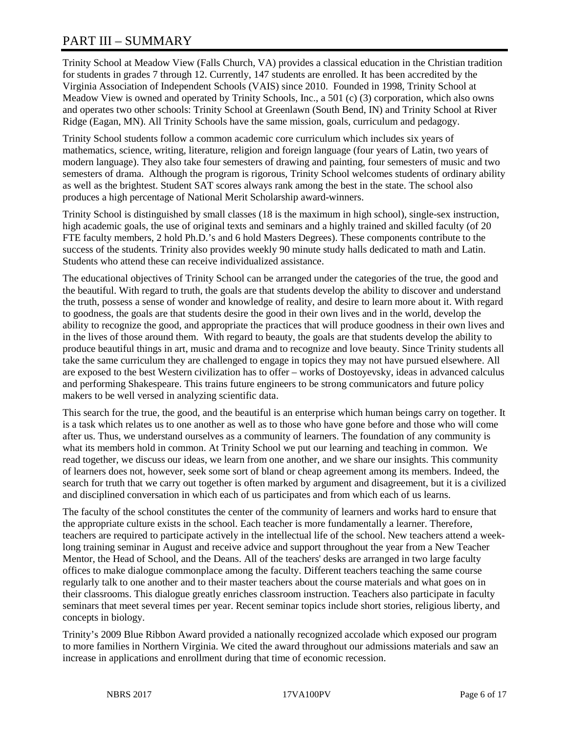# PART III – SUMMARY

Trinity School at Meadow View (Falls Church, VA) provides a classical education in the Christian tradition for students in grades 7 through 12. Currently, 147 students are enrolled. It has been accredited by the Virginia Association of Independent Schools (VAIS) since 2010. Founded in 1998, Trinity School at Meadow View is owned and operated by Trinity Schools, Inc., a 501 (c) (3) corporation, which also owns and operates two other schools: Trinity School at Greenlawn (South Bend, IN) and Trinity School at River Ridge (Eagan, MN). All Trinity Schools have the same mission, goals, curriculum and pedagogy.

Trinity School students follow a common academic core curriculum which includes six years of mathematics, science, writing, literature, religion and foreign language (four years of Latin, two years of modern language). They also take four semesters of drawing and painting, four semesters of music and two semesters of drama. Although the program is rigorous, Trinity School welcomes students of ordinary ability as well as the brightest. Student SAT scores always rank among the best in the state. The school also produces a high percentage of National Merit Scholarship award-winners.

Trinity School is distinguished by small classes (18 is the maximum in high school), single-sex instruction, high academic goals, the use of original texts and seminars and a highly trained and skilled faculty (of 20 FTE faculty members, 2 hold Ph.D.'s and 6 hold Masters Degrees). These components contribute to the success of the students. Trinity also provides weekly 90 minute study halls dedicated to math and Latin. Students who attend these can receive individualized assistance.

The educational objectives of Trinity School can be arranged under the categories of the true, the good and the beautiful. With regard to truth, the goals are that students develop the ability to discover and understand the truth, possess a sense of wonder and knowledge of reality, and desire to learn more about it. With regard to goodness, the goals are that students desire the good in their own lives and in the world, develop the ability to recognize the good, and appropriate the practices that will produce goodness in their own lives and in the lives of those around them. With regard to beauty, the goals are that students develop the ability to produce beautiful things in art, music and drama and to recognize and love beauty. Since Trinity students all take the same curriculum they are challenged to engage in topics they may not have pursued elsewhere. All are exposed to the best Western civilization has to offer – works of Dostoyevsky, ideas in advanced calculus and performing Shakespeare. This trains future engineers to be strong communicators and future policy makers to be well versed in analyzing scientific data.

This search for the true, the good, and the beautiful is an enterprise which human beings carry on together. It is a task which relates us to one another as well as to those who have gone before and those who will come after us. Thus, we understand ourselves as a community of learners. The foundation of any community is what its members hold in common. At Trinity School we put our learning and teaching in common. We read together, we discuss our ideas, we learn from one another, and we share our insights. This community of learners does not, however, seek some sort of bland or cheap agreement among its members. Indeed, the search for truth that we carry out together is often marked by argument and disagreement, but it is a civilized and disciplined conversation in which each of us participates and from which each of us learns.

The faculty of the school constitutes the center of the community of learners and works hard to ensure that the appropriate culture exists in the school. Each teacher is more fundamentally a learner. Therefore, teachers are required to participate actively in the intellectual life of the school. New teachers attend a weeklong training seminar in August and receive advice and support throughout the year from a New Teacher Mentor, the Head of School, and the Deans. All of the teachers' desks are arranged in two large faculty offices to make dialogue commonplace among the faculty. Different teachers teaching the same course regularly talk to one another and to their master teachers about the course materials and what goes on in their classrooms. This dialogue greatly enriches classroom instruction. Teachers also participate in faculty seminars that meet several times per year. Recent seminar topics include short stories, religious liberty, and concepts in biology.

Trinity's 2009 Blue Ribbon Award provided a nationally recognized accolade which exposed our program to more families in Northern Virginia. We cited the award throughout our admissions materials and saw an increase in applications and enrollment during that time of economic recession.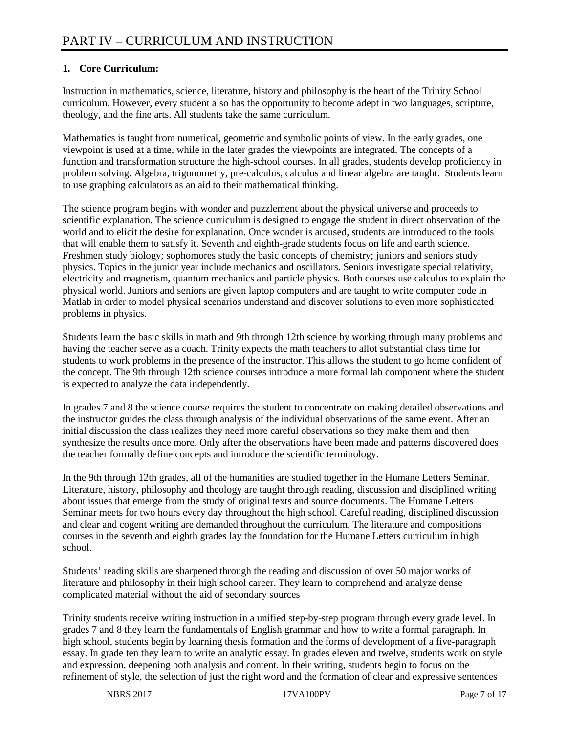# **1. Core Curriculum:**

Instruction in mathematics, science, literature, history and philosophy is the heart of the Trinity School curriculum. However, every student also has the opportunity to become adept in two languages, scripture, theology, and the fine arts. All students take the same curriculum.

Mathematics is taught from numerical, geometric and symbolic points of view. In the early grades, one viewpoint is used at a time, while in the later grades the viewpoints are integrated. The concepts of a function and transformation structure the high-school courses. In all grades, students develop proficiency in problem solving. Algebra, trigonometry, pre-calculus, calculus and linear algebra are taught. Students learn to use graphing calculators as an aid to their mathematical thinking.

The science program begins with wonder and puzzlement about the physical universe and proceeds to scientific explanation. The science curriculum is designed to engage the student in direct observation of the world and to elicit the desire for explanation. Once wonder is aroused, students are introduced to the tools that will enable them to satisfy it. Seventh and eighth-grade students focus on life and earth science. Freshmen study biology; sophomores study the basic concepts of chemistry; juniors and seniors study physics. Topics in the junior year include mechanics and oscillators. Seniors investigate special relativity, electricity and magnetism, quantum mechanics and particle physics. Both courses use calculus to explain the physical world. Juniors and seniors are given laptop computers and are taught to write computer code in Matlab in order to model physical scenarios understand and discover solutions to even more sophisticated problems in physics.

Students learn the basic skills in math and 9th through 12th science by working through many problems and having the teacher serve as a coach. Trinity expects the math teachers to allot substantial class time for students to work problems in the presence of the instructor. This allows the student to go home confident of the concept. The 9th through 12th science courses introduce a more formal lab component where the student is expected to analyze the data independently.

In grades 7 and 8 the science course requires the student to concentrate on making detailed observations and the instructor guides the class through analysis of the individual observations of the same event. After an initial discussion the class realizes they need more careful observations so they make them and then synthesize the results once more. Only after the observations have been made and patterns discovered does the teacher formally define concepts and introduce the scientific terminology.

In the 9th through 12th grades, all of the humanities are studied together in the Humane Letters Seminar. Literature, history, philosophy and theology are taught through reading, discussion and disciplined writing about issues that emerge from the study of original texts and source documents. The Humane Letters Seminar meets for two hours every day throughout the high school. Careful reading, disciplined discussion and clear and cogent writing are demanded throughout the curriculum. The literature and compositions courses in the seventh and eighth grades lay the foundation for the Humane Letters curriculum in high school.

Students' reading skills are sharpened through the reading and discussion of over 50 major works of literature and philosophy in their high school career. They learn to comprehend and analyze dense complicated material without the aid of secondary sources

Trinity students receive writing instruction in a unified step-by-step program through every grade level. In grades 7 and 8 they learn the fundamentals of English grammar and how to write a formal paragraph. In high school, students begin by learning thesis formation and the forms of development of a five-paragraph essay. In grade ten they learn to write an analytic essay. In grades eleven and twelve, students work on style and expression, deepening both analysis and content. In their writing, students begin to focus on the refinement of style, the selection of just the right word and the formation of clear and expressive sentences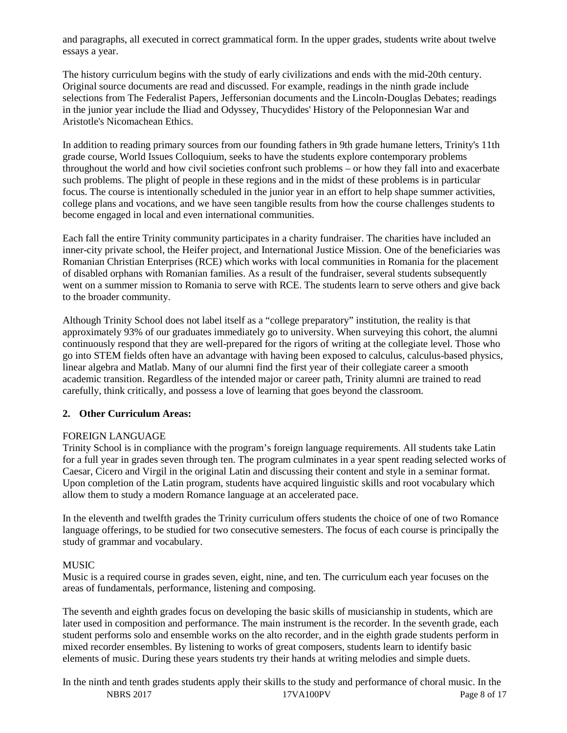and paragraphs, all executed in correct grammatical form. In the upper grades, students write about twelve essays a year.

The history curriculum begins with the study of early civilizations and ends with the mid-20th century. Original source documents are read and discussed. For example, readings in the ninth grade include selections from The Federalist Papers, Jeffersonian documents and the Lincoln-Douglas Debates; readings in the junior year include the Iliad and Odyssey, Thucydides' History of the Peloponnesian War and Aristotle's Nicomachean Ethics.

In addition to reading primary sources from our founding fathers in 9th grade humane letters, Trinity's 11th grade course, World Issues Colloquium, seeks to have the students explore contemporary problems throughout the world and how civil societies confront such problems – or how they fall into and exacerbate such problems. The plight of people in these regions and in the midst of these problems is in particular focus. The course is intentionally scheduled in the junior year in an effort to help shape summer activities, college plans and vocations, and we have seen tangible results from how the course challenges students to become engaged in local and even international communities.

Each fall the entire Trinity community participates in a charity fundraiser. The charities have included an inner-city private school, the Heifer project, and International Justice Mission. One of the beneficiaries was Romanian Christian Enterprises (RCE) which works with local communities in Romania for the placement of disabled orphans with Romanian families. As a result of the fundraiser, several students subsequently went on a summer mission to Romania to serve with RCE. The students learn to serve others and give back to the broader community.

Although Trinity School does not label itself as a "college preparatory" institution, the reality is that approximately 93% of our graduates immediately go to university. When surveying this cohort, the alumni continuously respond that they are well-prepared for the rigors of writing at the collegiate level. Those who go into STEM fields often have an advantage with having been exposed to calculus, calculus-based physics, linear algebra and Matlab. Many of our alumni find the first year of their collegiate career a smooth academic transition. Regardless of the intended major or career path, Trinity alumni are trained to read carefully, think critically, and possess a love of learning that goes beyond the classroom.

## **2. Other Curriculum Areas:**

#### FOREIGN LANGUAGE

Trinity School is in compliance with the program's foreign language requirements. All students take Latin for a full year in grades seven through ten. The program culminates in a year spent reading selected works of Caesar, Cicero and Virgil in the original Latin and discussing their content and style in a seminar format. Upon completion of the Latin program, students have acquired linguistic skills and root vocabulary which allow them to study a modern Romance language at an accelerated pace.

In the eleventh and twelfth grades the Trinity curriculum offers students the choice of one of two Romance language offerings, to be studied for two consecutive semesters. The focus of each course is principally the study of grammar and vocabulary.

## MUSIC

Music is a required course in grades seven, eight, nine, and ten. The curriculum each year focuses on the areas of fundamentals, performance, listening and composing.

The seventh and eighth grades focus on developing the basic skills of musicianship in students, which are later used in composition and performance. The main instrument is the recorder. In the seventh grade, each student performs solo and ensemble works on the alto recorder, and in the eighth grade students perform in mixed recorder ensembles. By listening to works of great composers, students learn to identify basic elements of music. During these years students try their hands at writing melodies and simple duets.

NBRS 2017 **17VA100PV** Page 8 of 17 In the ninth and tenth grades students apply their skills to the study and performance of choral music. In the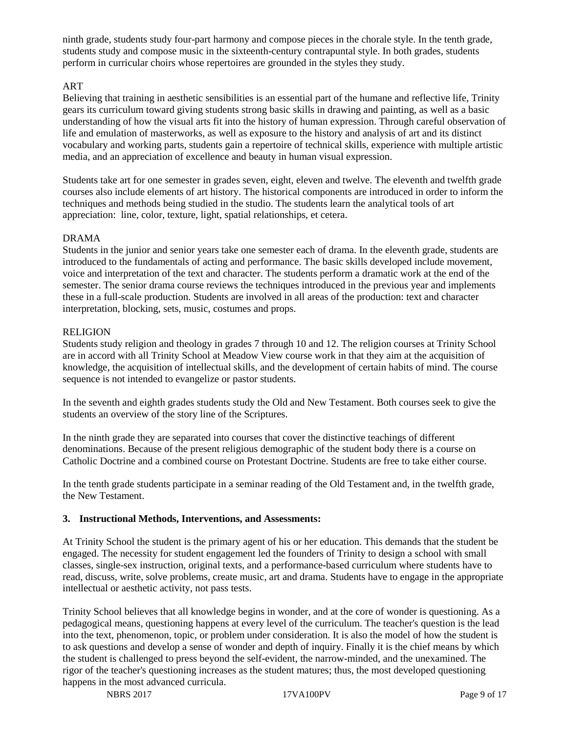ninth grade, students study four-part harmony and compose pieces in the chorale style. In the tenth grade, students study and compose music in the sixteenth-century contrapuntal style. In both grades, students perform in curricular choirs whose repertoires are grounded in the styles they study.

## ART

Believing that training in aesthetic sensibilities is an essential part of the humane and reflective life, Trinity gears its curriculum toward giving students strong basic skills in drawing and painting, as well as a basic understanding of how the visual arts fit into the history of human expression. Through careful observation of life and emulation of masterworks, as well as exposure to the history and analysis of art and its distinct vocabulary and working parts, students gain a repertoire of technical skills, experience with multiple artistic media, and an appreciation of excellence and beauty in human visual expression.

Students take art for one semester in grades seven, eight, eleven and twelve. The eleventh and twelfth grade courses also include elements of art history. The historical components are introduced in order to inform the techniques and methods being studied in the studio. The students learn the analytical tools of art appreciation: line, color, texture, light, spatial relationships, et cetera.

#### DRAMA

Students in the junior and senior years take one semester each of drama. In the eleventh grade, students are introduced to the fundamentals of acting and performance. The basic skills developed include movement, voice and interpretation of the text and character. The students perform a dramatic work at the end of the semester. The senior drama course reviews the techniques introduced in the previous year and implements these in a full-scale production. Students are involved in all areas of the production: text and character interpretation, blocking, sets, music, costumes and props.

#### **RELIGION**

Students study religion and theology in grades 7 through 10 and 12. The religion courses at Trinity School are in accord with all Trinity School at Meadow View course work in that they aim at the acquisition of knowledge, the acquisition of intellectual skills, and the development of certain habits of mind. The course sequence is not intended to evangelize or pastor students.

In the seventh and eighth grades students study the Old and New Testament. Both courses seek to give the students an overview of the story line of the Scriptures.

In the ninth grade they are separated into courses that cover the distinctive teachings of different denominations. Because of the present religious demographic of the student body there is a course on Catholic Doctrine and a combined course on Protestant Doctrine. Students are free to take either course.

In the tenth grade students participate in a seminar reading of the Old Testament and, in the twelfth grade, the New Testament.

#### **3. Instructional Methods, Interventions, and Assessments:**

At Trinity School the student is the primary agent of his or her education. This demands that the student be engaged. The necessity for student engagement led the founders of Trinity to design a school with small classes, single-sex instruction, original texts, and a performance-based curriculum where students have to read, discuss, write, solve problems, create music, art and drama. Students have to engage in the appropriate intellectual or aesthetic activity, not pass tests.

Trinity School believes that all knowledge begins in wonder, and at the core of wonder is questioning. As a pedagogical means, questioning happens at every level of the curriculum. The teacher's question is the lead into the text, phenomenon, topic, or problem under consideration. It is also the model of how the student is to ask questions and develop a sense of wonder and depth of inquiry. Finally it is the chief means by which the student is challenged to press beyond the self-evident, the narrow-minded, and the unexamined. The rigor of the teacher's questioning increases as the student matures; thus, the most developed questioning happens in the most advanced curricula.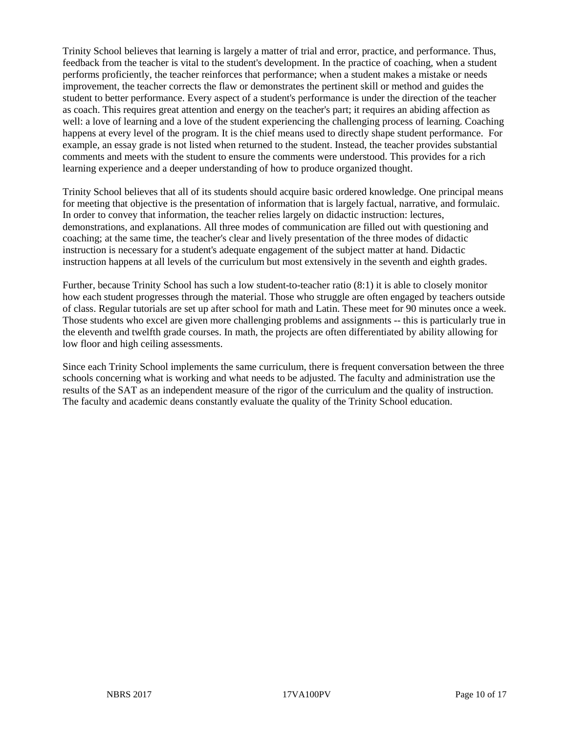Trinity School believes that learning is largely a matter of trial and error, practice, and performance. Thus, feedback from the teacher is vital to the student's development. In the practice of coaching, when a student performs proficiently, the teacher reinforces that performance; when a student makes a mistake or needs improvement, the teacher corrects the flaw or demonstrates the pertinent skill or method and guides the student to better performance. Every aspect of a student's performance is under the direction of the teacher as coach. This requires great attention and energy on the teacher's part; it requires an abiding affection as well: a love of learning and a love of the student experiencing the challenging process of learning. Coaching happens at every level of the program. It is the chief means used to directly shape student performance. For example, an essay grade is not listed when returned to the student. Instead, the teacher provides substantial comments and meets with the student to ensure the comments were understood. This provides for a rich learning experience and a deeper understanding of how to produce organized thought.

Trinity School believes that all of its students should acquire basic ordered knowledge. One principal means for meeting that objective is the presentation of information that is largely factual, narrative, and formulaic. In order to convey that information, the teacher relies largely on didactic instruction: lectures, demonstrations, and explanations. All three modes of communication are filled out with questioning and coaching; at the same time, the teacher's clear and lively presentation of the three modes of didactic instruction is necessary for a student's adequate engagement of the subject matter at hand. Didactic instruction happens at all levels of the curriculum but most extensively in the seventh and eighth grades.

Further, because Trinity School has such a low student-to-teacher ratio (8:1) it is able to closely monitor how each student progresses through the material. Those who struggle are often engaged by teachers outside of class. Regular tutorials are set up after school for math and Latin. These meet for 90 minutes once a week. Those students who excel are given more challenging problems and assignments -- this is particularly true in the eleventh and twelfth grade courses. In math, the projects are often differentiated by ability allowing for low floor and high ceiling assessments.

Since each Trinity School implements the same curriculum, there is frequent conversation between the three schools concerning what is working and what needs to be adjusted. The faculty and administration use the results of the SAT as an independent measure of the rigor of the curriculum and the quality of instruction. The faculty and academic deans constantly evaluate the quality of the Trinity School education.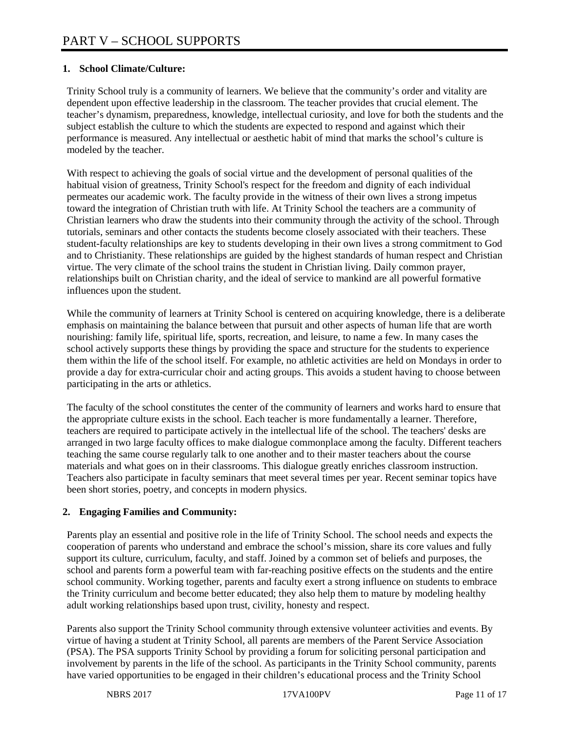## **1. School Climate/Culture:**

Trinity School truly is a community of learners. We believe that the community's order and vitality are dependent upon effective leadership in the classroom. The teacher provides that crucial element. The teacher's dynamism, preparedness, knowledge, intellectual curiosity, and love for both the students and the subject establish the culture to which the students are expected to respond and against which their performance is measured. Any intellectual or aesthetic habit of mind that marks the school's culture is modeled by the teacher.

With respect to achieving the goals of social virtue and the development of personal qualities of the habitual vision of greatness, Trinity School's respect for the freedom and dignity of each individual permeates our academic work. The faculty provide in the witness of their own lives a strong impetus toward the integration of Christian truth with life. At Trinity School the teachers are a community of Christian learners who draw the students into their community through the activity of the school. Through tutorials, seminars and other contacts the students become closely associated with their teachers. These student-faculty relationships are key to students developing in their own lives a strong commitment to God and to Christianity. These relationships are guided by the highest standards of human respect and Christian virtue. The very climate of the school trains the student in Christian living. Daily common prayer, relationships built on Christian charity, and the ideal of service to mankind are all powerful formative influences upon the student.

While the community of learners at Trinity School is centered on acquiring knowledge, there is a deliberate emphasis on maintaining the balance between that pursuit and other aspects of human life that are worth nourishing: family life, spiritual life, sports, recreation, and leisure, to name a few. In many cases the school actively supports these things by providing the space and structure for the students to experience them within the life of the school itself. For example, no athletic activities are held on Mondays in order to provide a day for extra-curricular choir and acting groups. This avoids a student having to choose between participating in the arts or athletics.

The faculty of the school constitutes the center of the community of learners and works hard to ensure that the appropriate culture exists in the school. Each teacher is more fundamentally a learner. Therefore, teachers are required to participate actively in the intellectual life of the school. The teachers' desks are arranged in two large faculty offices to make dialogue commonplace among the faculty. Different teachers teaching the same course regularly talk to one another and to their master teachers about the course materials and what goes on in their classrooms. This dialogue greatly enriches classroom instruction. Teachers also participate in faculty seminars that meet several times per year. Recent seminar topics have been short stories, poetry, and concepts in modern physics.

#### **2. Engaging Families and Community:**

Parents play an essential and positive role in the life of Trinity School. The school needs and expects the cooperation of parents who understand and embrace the school's mission, share its core values and fully support its culture, curriculum, faculty, and staff. Joined by a common set of beliefs and purposes, the school and parents form a powerful team with far-reaching positive effects on the students and the entire school community. Working together, parents and faculty exert a strong influence on students to embrace the Trinity curriculum and become better educated; they also help them to mature by modeling healthy adult working relationships based upon trust, civility, honesty and respect.

Parents also support the Trinity School community through extensive volunteer activities and events. By virtue of having a student at Trinity School, all parents are members of the Parent Service Association (PSA). The PSA supports Trinity School by providing a forum for soliciting personal participation and involvement by parents in the life of the school. As participants in the Trinity School community, parents have varied opportunities to be engaged in their children's educational process and the Trinity School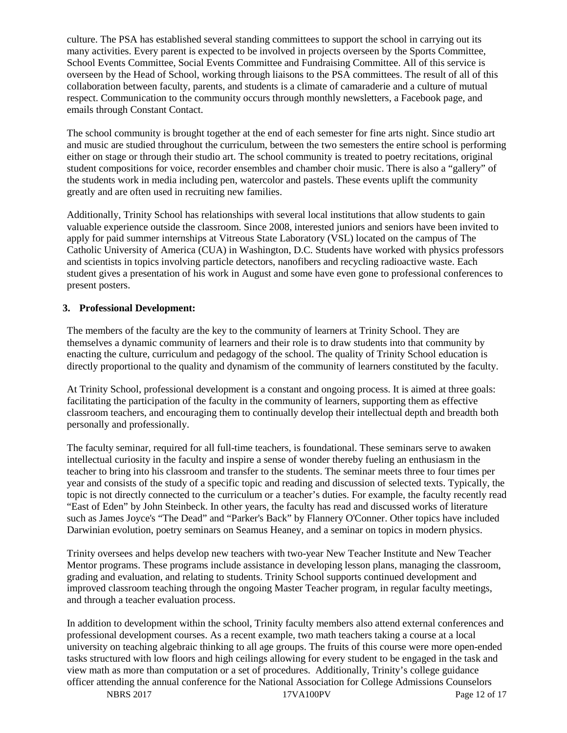culture. The PSA has established several standing committees to support the school in carrying out its many activities. Every parent is expected to be involved in projects overseen by the Sports Committee, School Events Committee, Social Events Committee and Fundraising Committee. All of this service is overseen by the Head of School, working through liaisons to the PSA committees. The result of all of this collaboration between faculty, parents, and students is a climate of camaraderie and a culture of mutual respect. Communication to the community occurs through monthly newsletters, a Facebook page, and emails through Constant Contact.

The school community is brought together at the end of each semester for fine arts night. Since studio art and music are studied throughout the curriculum, between the two semesters the entire school is performing either on stage or through their studio art. The school community is treated to poetry recitations, original student compositions for voice, recorder ensembles and chamber choir music. There is also a "gallery" of the students work in media including pen, watercolor and pastels. These events uplift the community greatly and are often used in recruiting new families.

Additionally, Trinity School has relationships with several local institutions that allow students to gain valuable experience outside the classroom. Since 2008, interested juniors and seniors have been invited to apply for paid summer internships at Vitreous State Laboratory (VSL) located on the campus of The Catholic University of America (CUA) in Washington, D.C. Students have worked with physics professors and scientists in topics involving particle detectors, nanofibers and recycling radioactive waste. Each student gives a presentation of his work in August and some have even gone to professional conferences to present posters.

#### **3. Professional Development:**

The members of the faculty are the key to the community of learners at Trinity School. They are themselves a dynamic community of learners and their role is to draw students into that community by enacting the culture, curriculum and pedagogy of the school. The quality of Trinity School education is directly proportional to the quality and dynamism of the community of learners constituted by the faculty.

At Trinity School, professional development is a constant and ongoing process. It is aimed at three goals: facilitating the participation of the faculty in the community of learners, supporting them as effective classroom teachers, and encouraging them to continually develop their intellectual depth and breadth both personally and professionally.

The faculty seminar, required for all full-time teachers, is foundational. These seminars serve to awaken intellectual curiosity in the faculty and inspire a sense of wonder thereby fueling an enthusiasm in the teacher to bring into his classroom and transfer to the students. The seminar meets three to four times per year and consists of the study of a specific topic and reading and discussion of selected texts. Typically, the topic is not directly connected to the curriculum or a teacher's duties. For example, the faculty recently read "East of Eden" by John Steinbeck. In other years, the faculty has read and discussed works of literature such as James Joyce's "The Dead" and "Parker's Back" by Flannery O'Conner. Other topics have included Darwinian evolution, poetry seminars on Seamus Heaney, and a seminar on topics in modern physics.

Trinity oversees and helps develop new teachers with two-year New Teacher Institute and New Teacher Mentor programs. These programs include assistance in developing lesson plans, managing the classroom, grading and evaluation, and relating to students. Trinity School supports continued development and improved classroom teaching through the ongoing Master Teacher program, in regular faculty meetings, and through a teacher evaluation process.

In addition to development within the school, Trinity faculty members also attend external conferences and professional development courses. As a recent example, two math teachers taking a course at a local university on teaching algebraic thinking to all age groups. The fruits of this course were more open-ended tasks structured with low floors and high ceilings allowing for every student to be engaged in the task and view math as more than computation or a set of procedures. Additionally, Trinity's college guidance officer attending the annual conference for the National Association for College Admissions Counselors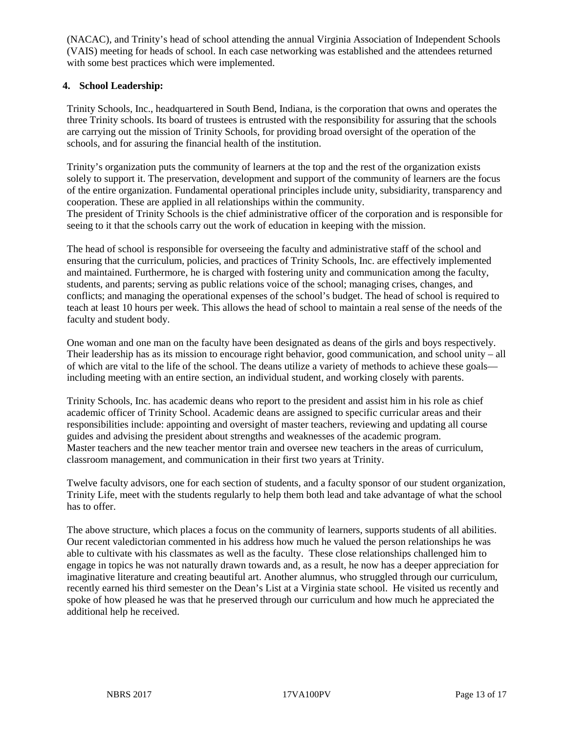(NACAC), and Trinity's head of school attending the annual Virginia Association of Independent Schools (VAIS) meeting for heads of school. In each case networking was established and the attendees returned with some best practices which were implemented.

#### **4. School Leadership:**

Trinity Schools, Inc., headquartered in South Bend, Indiana, is the corporation that owns and operates the three Trinity schools. Its board of trustees is entrusted with the responsibility for assuring that the schools are carrying out the mission of Trinity Schools, for providing broad oversight of the operation of the schools, and for assuring the financial health of the institution.

Trinity's organization puts the community of learners at the top and the rest of the organization exists solely to support it. The preservation, development and support of the community of learners are the focus of the entire organization. Fundamental operational principles include unity, subsidiarity, transparency and cooperation. These are applied in all relationships within the community. The president of Trinity Schools is the chief administrative officer of the corporation and is responsible for seeing to it that the schools carry out the work of education in keeping with the mission.

The head of school is responsible for overseeing the faculty and administrative staff of the school and ensuring that the curriculum, policies, and practices of Trinity Schools, Inc. are effectively implemented and maintained. Furthermore, he is charged with fostering unity and communication among the faculty, students, and parents; serving as public relations voice of the school; managing crises, changes, and conflicts; and managing the operational expenses of the school's budget. The head of school is required to teach at least 10 hours per week. This allows the head of school to maintain a real sense of the needs of the faculty and student body.

One woman and one man on the faculty have been designated as deans of the girls and boys respectively. Their leadership has as its mission to encourage right behavior, good communication, and school unity – all of which are vital to the life of the school. The deans utilize a variety of methods to achieve these goals including meeting with an entire section, an individual student, and working closely with parents.

Trinity Schools, Inc. has academic deans who report to the president and assist him in his role as chief academic officer of Trinity School. Academic deans are assigned to specific curricular areas and their responsibilities include: appointing and oversight of master teachers, reviewing and updating all course guides and advising the president about strengths and weaknesses of the academic program. Master teachers and the new teacher mentor train and oversee new teachers in the areas of curriculum, classroom management, and communication in their first two years at Trinity.

Twelve faculty advisors, one for each section of students, and a faculty sponsor of our student organization, Trinity Life, meet with the students regularly to help them both lead and take advantage of what the school has to offer.

The above structure, which places a focus on the community of learners, supports students of all abilities. Our recent valedictorian commented in his address how much he valued the person relationships he was able to cultivate with his classmates as well as the faculty. These close relationships challenged him to engage in topics he was not naturally drawn towards and, as a result, he now has a deeper appreciation for imaginative literature and creating beautiful art. Another alumnus, who struggled through our curriculum, recently earned his third semester on the Dean's List at a Virginia state school. He visited us recently and spoke of how pleased he was that he preserved through our curriculum and how much he appreciated the additional help he received.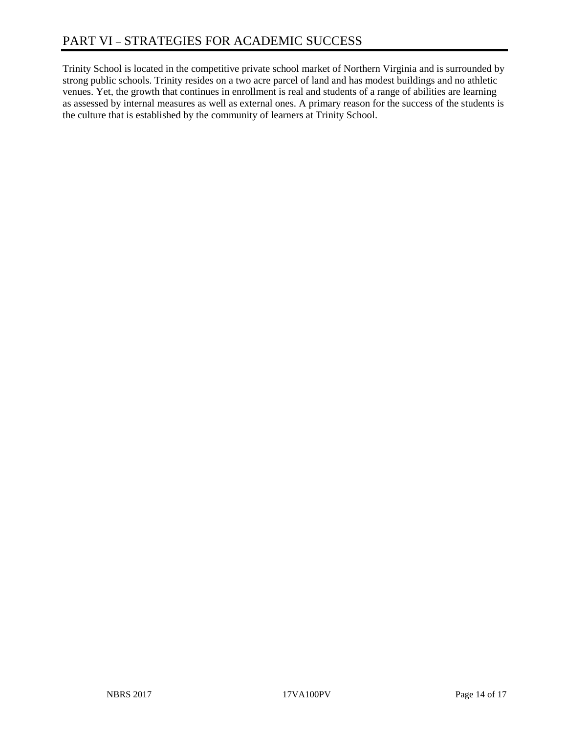Trinity School is located in the competitive private school market of Northern Virginia and is surrounded by strong public schools. Trinity resides on a two acre parcel of land and has modest buildings and no athletic venues. Yet, the growth that continues in enrollment is real and students of a range of abilities are learning as assessed by internal measures as well as external ones. A primary reason for the success of the students is the culture that is established by the community of learners at Trinity School.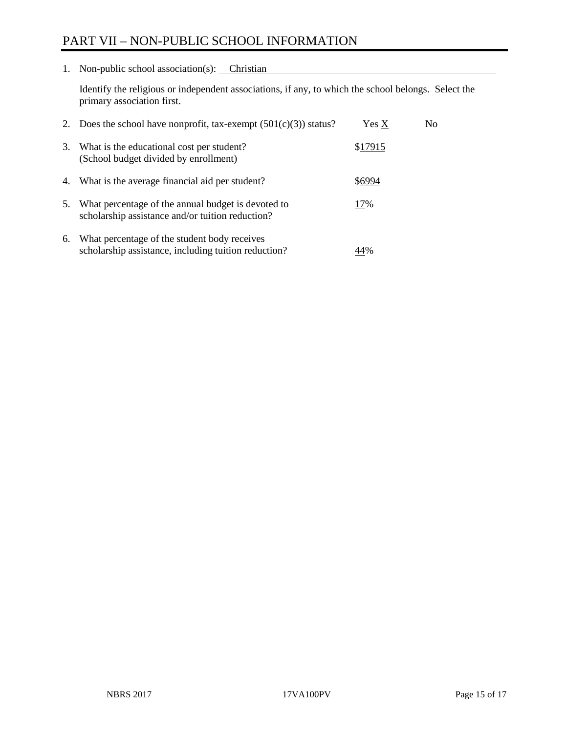# PART VII – NON-PUBLIC SCHOOL INFORMATION

1. Non-public school association(s): Christian

Identify the religious or independent associations, if any, to which the school belongs. Select the primary association first.

| 2. | Does the school have nonprofit, tax-exempt $(501(c)(3))$ status?                                       | Yes X   | No. |
|----|--------------------------------------------------------------------------------------------------------|---------|-----|
| 3. | What is the educational cost per student?<br>(School budget divided by enrollment)                     | \$17915 |     |
| 4. | What is the average financial aid per student?                                                         | \$6994  |     |
| 5. | What percentage of the annual budget is devoted to<br>scholarship assistance and/or tuition reduction? | 17%     |     |
| 6. | What percentage of the student body receives<br>scholarship assistance, including tuition reduction?   |         |     |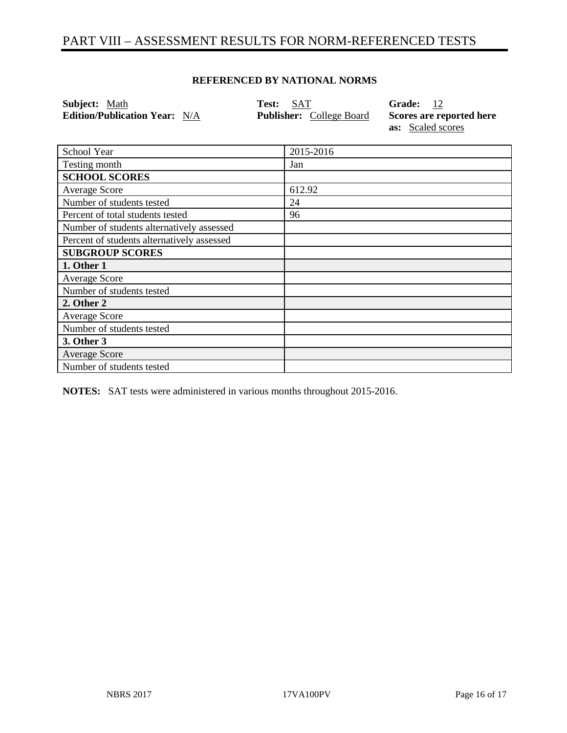# PART VIII – ASSESSMENT RESULTS FOR NORM-REFERENCED TESTS

#### **REFERENCED BY NATIONAL NORMS**

| <b>Subject:</b> Math                 | <b>Test:</b> SAT |                                 | Grade: 12                                            |
|--------------------------------------|------------------|---------------------------------|------------------------------------------------------|
| <b>Edition/Publication Year:</b> N/A |                  | <b>Publisher:</b> College Board | Scores are reported here<br><b>as:</b> Scaled scores |
|                                      |                  |                                 |                                                      |

| School Year                                | 2015-2016 |
|--------------------------------------------|-----------|
| Testing month                              | Jan       |
| <b>SCHOOL SCORES</b>                       |           |
| Average Score                              | 612.92    |
| Number of students tested                  | 24        |
| Percent of total students tested           | 96        |
| Number of students alternatively assessed  |           |
| Percent of students alternatively assessed |           |
| <b>SUBGROUP SCORES</b>                     |           |
| 1. Other 1                                 |           |
| Average Score                              |           |
| Number of students tested                  |           |
| 2. Other 2                                 |           |
| <b>Average Score</b>                       |           |
| Number of students tested                  |           |
| 3. Other 3                                 |           |
| <b>Average Score</b>                       |           |
| Number of students tested                  |           |

**NOTES:** SAT tests were administered in various months throughout 2015-2016.